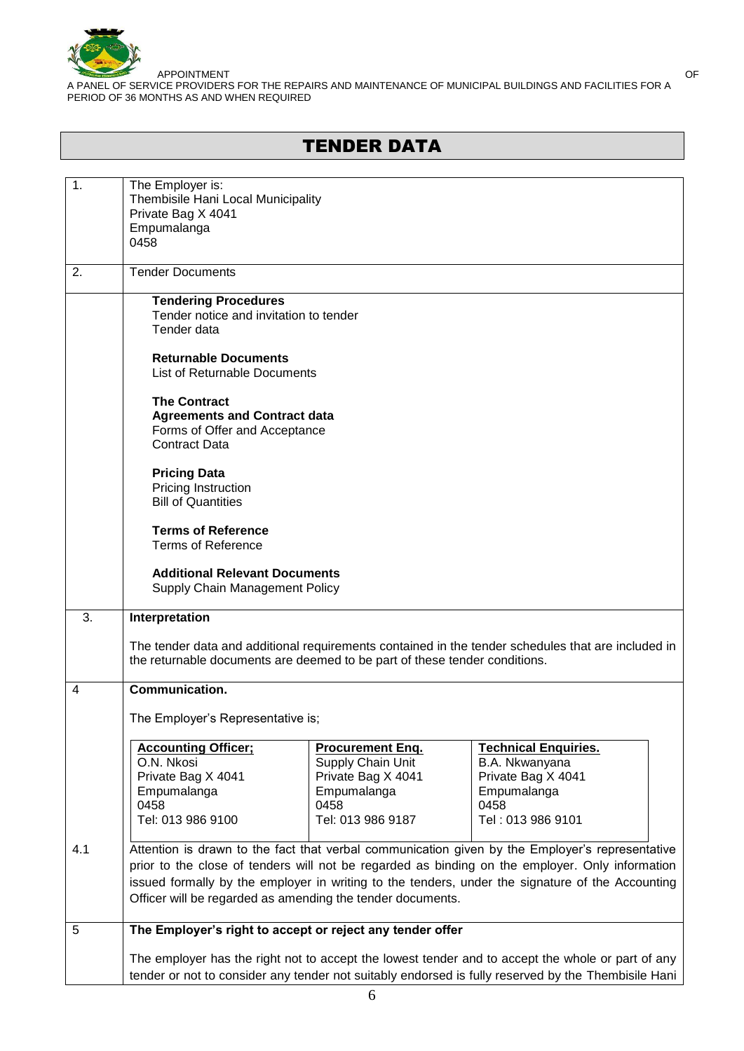

# TENDER DATA

| 1.  | The Employer is:<br>Thembisile Hani Local Municipality<br>Private Bag X 4041<br>Empumalanga<br>0458                                                                                                                                                                                                                                                                  |                                                                                                                |                                                                                                                 |  |  |
|-----|----------------------------------------------------------------------------------------------------------------------------------------------------------------------------------------------------------------------------------------------------------------------------------------------------------------------------------------------------------------------|----------------------------------------------------------------------------------------------------------------|-----------------------------------------------------------------------------------------------------------------|--|--|
| 2.  | <b>Tender Documents</b>                                                                                                                                                                                                                                                                                                                                              |                                                                                                                |                                                                                                                 |  |  |
|     | <b>Tendering Procedures</b><br>Tender notice and invitation to tender<br>Tender data                                                                                                                                                                                                                                                                                 |                                                                                                                |                                                                                                                 |  |  |
|     | <b>Returnable Documents</b><br><b>List of Returnable Documents</b>                                                                                                                                                                                                                                                                                                   |                                                                                                                |                                                                                                                 |  |  |
|     | <b>The Contract</b><br><b>Agreements and Contract data</b><br>Forms of Offer and Acceptance<br>Contract Data                                                                                                                                                                                                                                                         |                                                                                                                |                                                                                                                 |  |  |
|     | <b>Pricing Data</b><br>Pricing Instruction<br><b>Bill of Quantities</b>                                                                                                                                                                                                                                                                                              |                                                                                                                |                                                                                                                 |  |  |
|     | <b>Terms of Reference</b><br><b>Terms of Reference</b>                                                                                                                                                                                                                                                                                                               |                                                                                                                |                                                                                                                 |  |  |
|     | <b>Additional Relevant Documents</b><br>Supply Chain Management Policy                                                                                                                                                                                                                                                                                               |                                                                                                                |                                                                                                                 |  |  |
| 3.  | Interpretation                                                                                                                                                                                                                                                                                                                                                       |                                                                                                                |                                                                                                                 |  |  |
|     | The tender data and additional requirements contained in the tender schedules that are included in<br>the returnable documents are deemed to be part of these tender conditions.                                                                                                                                                                                     |                                                                                                                |                                                                                                                 |  |  |
| 4   | <b>Communication.</b>                                                                                                                                                                                                                                                                                                                                                |                                                                                                                |                                                                                                                 |  |  |
|     | The Employer's Representative is;                                                                                                                                                                                                                                                                                                                                    |                                                                                                                |                                                                                                                 |  |  |
|     | <b>Accounting Officer:</b><br>O.N. Nkosi<br>Private Bag X 4041<br>Empumalanga<br>0458<br>Tel: 013 986 9100                                                                                                                                                                                                                                                           | <b>Procurement Eng.</b><br>Supply Chain Unit<br>Private Bag X 4041<br>Empumalanga<br>0458<br>Tel: 013 986 9187 | <b>Technical Enquiries.</b><br>B.A. Nkwanyana<br>Private Bag X 4041<br>Empumalanga<br>0458<br>Tel: 013 986 9101 |  |  |
| 4.1 | Attention is drawn to the fact that verbal communication given by the Employer's representative<br>prior to the close of tenders will not be regarded as binding on the employer. Only information<br>issued formally by the employer in writing to the tenders, under the signature of the Accounting<br>Officer will be regarded as amending the tender documents. |                                                                                                                |                                                                                                                 |  |  |
| 5   | The Employer's right to accept or reject any tender offer                                                                                                                                                                                                                                                                                                            |                                                                                                                |                                                                                                                 |  |  |
|     | The employer has the right not to accept the lowest tender and to accept the whole or part of any<br>tender or not to consider any tender not suitably endorsed is fully reserved by the Thembisile Hani                                                                                                                                                             |                                                                                                                |                                                                                                                 |  |  |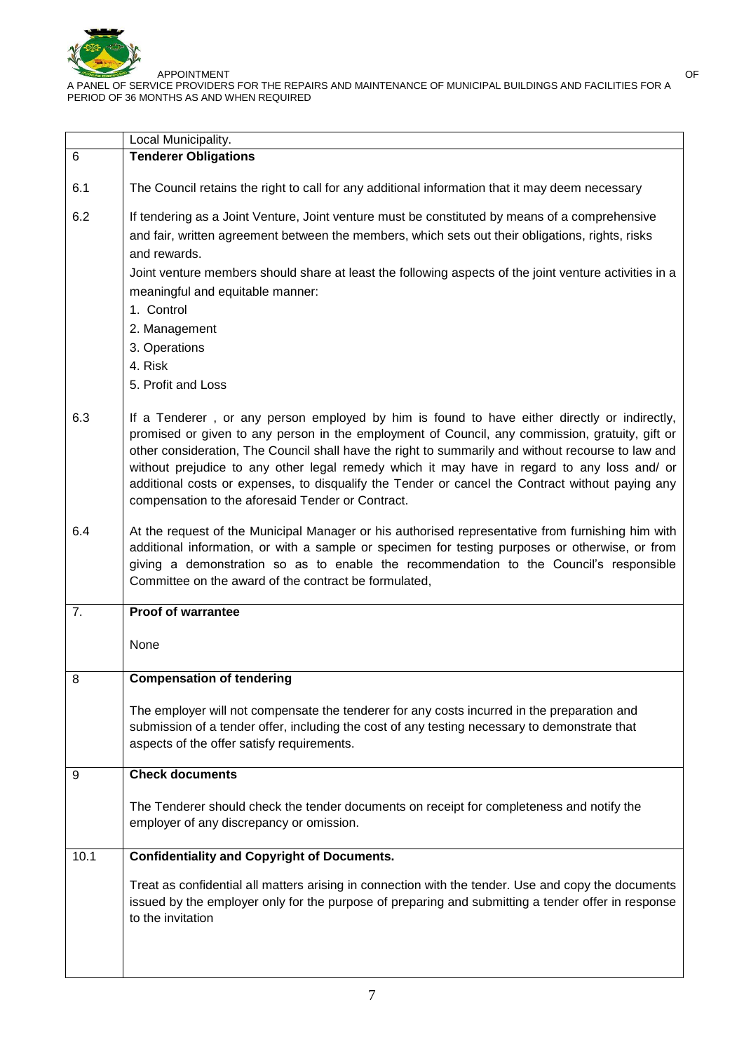

|      | Local Municipality.                                                                                                                                                                                                                                                                                                                                                                                                                                                                                                                                           |  |  |
|------|---------------------------------------------------------------------------------------------------------------------------------------------------------------------------------------------------------------------------------------------------------------------------------------------------------------------------------------------------------------------------------------------------------------------------------------------------------------------------------------------------------------------------------------------------------------|--|--|
| 6    | <b>Tenderer Obligations</b>                                                                                                                                                                                                                                                                                                                                                                                                                                                                                                                                   |  |  |
| 6.1  | The Council retains the right to call for any additional information that it may deem necessary                                                                                                                                                                                                                                                                                                                                                                                                                                                               |  |  |
| 6.2  | If tendering as a Joint Venture, Joint venture must be constituted by means of a comprehensive<br>and fair, written agreement between the members, which sets out their obligations, rights, risks<br>and rewards.                                                                                                                                                                                                                                                                                                                                            |  |  |
|      | Joint venture members should share at least the following aspects of the joint venture activities in a<br>meaningful and equitable manner:                                                                                                                                                                                                                                                                                                                                                                                                                    |  |  |
|      | 1. Control                                                                                                                                                                                                                                                                                                                                                                                                                                                                                                                                                    |  |  |
|      | 2. Management                                                                                                                                                                                                                                                                                                                                                                                                                                                                                                                                                 |  |  |
|      | 3. Operations                                                                                                                                                                                                                                                                                                                                                                                                                                                                                                                                                 |  |  |
|      | 4. Risk                                                                                                                                                                                                                                                                                                                                                                                                                                                                                                                                                       |  |  |
|      | 5. Profit and Loss                                                                                                                                                                                                                                                                                                                                                                                                                                                                                                                                            |  |  |
| 6.3  | If a Tenderer, or any person employed by him is found to have either directly or indirectly,<br>promised or given to any person in the employment of Council, any commission, gratuity, gift or<br>other consideration, The Council shall have the right to summarily and without recourse to law and<br>without prejudice to any other legal remedy which it may have in regard to any loss and/ or<br>additional costs or expenses, to disqualify the Tender or cancel the Contract without paying any<br>compensation to the aforesaid Tender or Contract. |  |  |
| 6.4  | At the request of the Municipal Manager or his authorised representative from furnishing him with<br>additional information, or with a sample or specimen for testing purposes or otherwise, or from<br>giving a demonstration so as to enable the recommendation to the Council's responsible<br>Committee on the award of the contract be formulated,                                                                                                                                                                                                       |  |  |
| 7.   | <b>Proof of warrantee</b>                                                                                                                                                                                                                                                                                                                                                                                                                                                                                                                                     |  |  |
|      | None                                                                                                                                                                                                                                                                                                                                                                                                                                                                                                                                                          |  |  |
| 8    | <b>Compensation of tendering</b>                                                                                                                                                                                                                                                                                                                                                                                                                                                                                                                              |  |  |
|      | The employer will not compensate the tenderer for any costs incurred in the preparation and<br>submission of a tender offer, including the cost of any testing necessary to demonstrate that<br>aspects of the offer satisfy requirements.                                                                                                                                                                                                                                                                                                                    |  |  |
| 9    | <b>Check documents</b>                                                                                                                                                                                                                                                                                                                                                                                                                                                                                                                                        |  |  |
|      | The Tenderer should check the tender documents on receipt for completeness and notify the<br>employer of any discrepancy or omission.                                                                                                                                                                                                                                                                                                                                                                                                                         |  |  |
| 10.1 | <b>Confidentiality and Copyright of Documents.</b>                                                                                                                                                                                                                                                                                                                                                                                                                                                                                                            |  |  |
|      | Treat as confidential all matters arising in connection with the tender. Use and copy the documents<br>issued by the employer only for the purpose of preparing and submitting a tender offer in response<br>to the invitation                                                                                                                                                                                                                                                                                                                                |  |  |
|      |                                                                                                                                                                                                                                                                                                                                                                                                                                                                                                                                                               |  |  |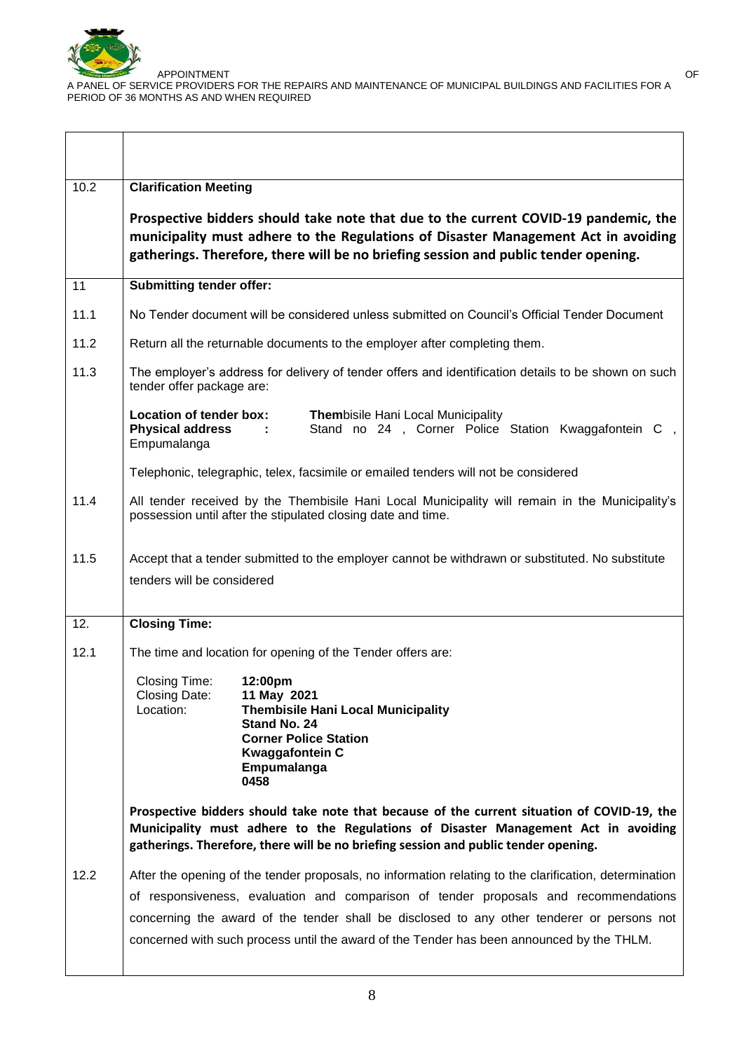

 $\overline{\Gamma}$ 

APPOINTMENT OF

A PANEL OF SERVICE PROVIDERS FOR THE REPAIRS AND MAINTENANCE OF MUNICIPAL BUILDINGS AND FACILITIES FOR A PERIOD OF 36 MONTHS AS AND WHEN REQUIRED

| 10.2 | <b>Clarification Meeting</b>                                                                                                                                                                                                                                                                                                                                                              |  |  |
|------|-------------------------------------------------------------------------------------------------------------------------------------------------------------------------------------------------------------------------------------------------------------------------------------------------------------------------------------------------------------------------------------------|--|--|
|      | Prospective bidders should take note that due to the current COVID-19 pandemic, the<br>municipality must adhere to the Regulations of Disaster Management Act in avoiding<br>gatherings. Therefore, there will be no briefing session and public tender opening.                                                                                                                          |  |  |
| 11   | <b>Submitting tender offer:</b>                                                                                                                                                                                                                                                                                                                                                           |  |  |
| 11.1 | No Tender document will be considered unless submitted on Council's Official Tender Document                                                                                                                                                                                                                                                                                              |  |  |
| 11.2 | Return all the returnable documents to the employer after completing them.                                                                                                                                                                                                                                                                                                                |  |  |
| 11.3 | The employer's address for delivery of tender offers and identification details to be shown on such<br>tender offer package are:                                                                                                                                                                                                                                                          |  |  |
|      | Location of tender box:<br><b>Thembisile Hani Local Municipality</b><br><b>Physical address</b><br>Stand no 24, Corner Police Station Kwaggafontein C,<br>$\sim 100$<br>Empumalanga                                                                                                                                                                                                       |  |  |
|      | Telephonic, telegraphic, telex, facsimile or emailed tenders will not be considered                                                                                                                                                                                                                                                                                                       |  |  |
| 11.4 | All tender received by the Thembisile Hani Local Municipality will remain in the Municipality's<br>possession until after the stipulated closing date and time.                                                                                                                                                                                                                           |  |  |
| 11.5 | Accept that a tender submitted to the employer cannot be withdrawn or substituted. No substitute<br>tenders will be considered                                                                                                                                                                                                                                                            |  |  |
| 12.  | <b>Closing Time:</b>                                                                                                                                                                                                                                                                                                                                                                      |  |  |
| 12.1 | The time and location for opening of the Tender offers are:                                                                                                                                                                                                                                                                                                                               |  |  |
|      | Closing Time:<br>12:00pm<br>Closing Date:<br>11 May 2021<br><b>Thembisile Hani Local Municipality</b><br>Location:<br>Stand No. 24<br><b>Corner Police Station</b><br><b>Kwaggafontein C</b><br>Empumalanga<br>0458                                                                                                                                                                       |  |  |
|      | Prospective bidders should take note that because of the current situation of COVID-19, the<br>Municipality must adhere to the Regulations of Disaster Management Act in avoiding<br>gatherings. Therefore, there will be no briefing session and public tender opening.                                                                                                                  |  |  |
| 12.2 | After the opening of the tender proposals, no information relating to the clarification, determination<br>of responsiveness, evaluation and comparison of tender proposals and recommendations<br>concerning the award of the tender shall be disclosed to any other tenderer or persons not<br>concerned with such process until the award of the Tender has been announced by the THLM. |  |  |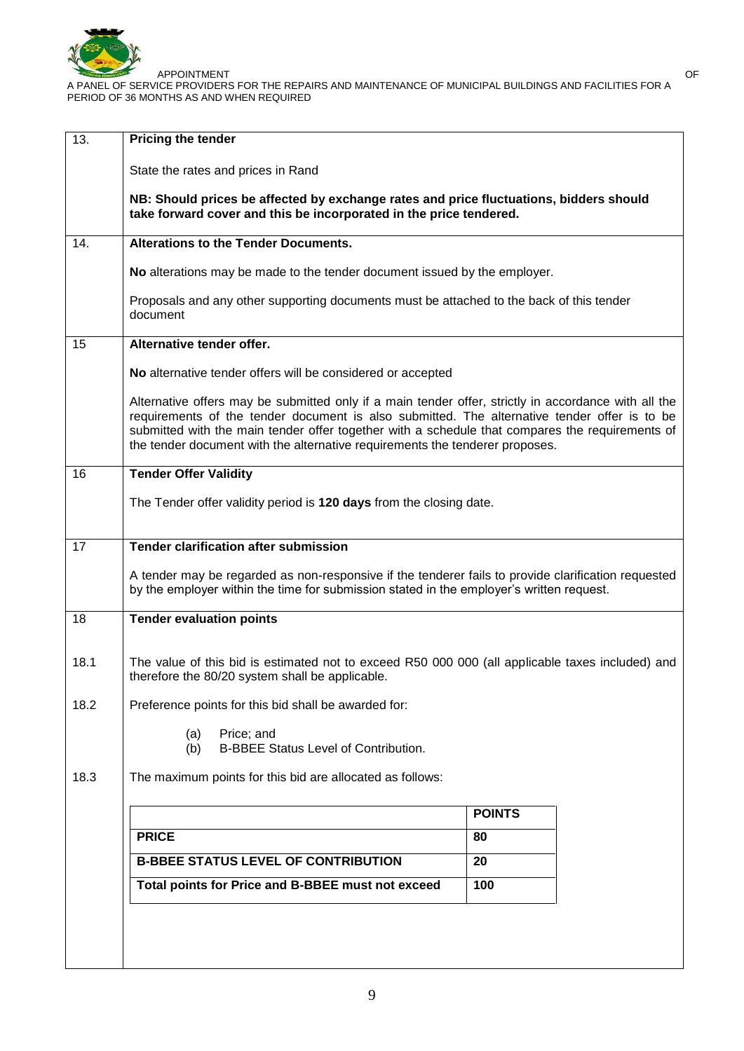

| 13.  | Pricing the tender                                                                                                                                                                                                                                                                                                                                                                      |               |  |  |
|------|-----------------------------------------------------------------------------------------------------------------------------------------------------------------------------------------------------------------------------------------------------------------------------------------------------------------------------------------------------------------------------------------|---------------|--|--|
|      | State the rates and prices in Rand                                                                                                                                                                                                                                                                                                                                                      |               |  |  |
|      | NB: Should prices be affected by exchange rates and price fluctuations, bidders should<br>take forward cover and this be incorporated in the price tendered.                                                                                                                                                                                                                            |               |  |  |
| 14.  | <b>Alterations to the Tender Documents.</b>                                                                                                                                                                                                                                                                                                                                             |               |  |  |
|      | No alterations may be made to the tender document issued by the employer.                                                                                                                                                                                                                                                                                                               |               |  |  |
|      | Proposals and any other supporting documents must be attached to the back of this tender<br>document                                                                                                                                                                                                                                                                                    |               |  |  |
| 15   | Alternative tender offer.                                                                                                                                                                                                                                                                                                                                                               |               |  |  |
|      | No alternative tender offers will be considered or accepted                                                                                                                                                                                                                                                                                                                             |               |  |  |
|      | Alternative offers may be submitted only if a main tender offer, strictly in accordance with all the<br>requirements of the tender document is also submitted. The alternative tender offer is to be<br>submitted with the main tender offer together with a schedule that compares the requirements of<br>the tender document with the alternative requirements the tenderer proposes. |               |  |  |
| 16   | <b>Tender Offer Validity</b>                                                                                                                                                                                                                                                                                                                                                            |               |  |  |
|      | The Tender offer validity period is 120 days from the closing date.                                                                                                                                                                                                                                                                                                                     |               |  |  |
| 17   | <b>Tender clarification after submission</b>                                                                                                                                                                                                                                                                                                                                            |               |  |  |
|      | A tender may be regarded as non-responsive if the tenderer fails to provide clarification requested<br>by the employer within the time for submission stated in the employer's written request.                                                                                                                                                                                         |               |  |  |
| 18   | <b>Tender evaluation points</b>                                                                                                                                                                                                                                                                                                                                                         |               |  |  |
| 18.1 | The value of this bid is estimated not to exceed R50 000 000 (all applicable taxes included) and<br>therefore the 80/20 system shall be applicable.                                                                                                                                                                                                                                     |               |  |  |
| 18.2 | Preference points for this bid shall be awarded for:                                                                                                                                                                                                                                                                                                                                    |               |  |  |
|      | Price; and<br>(a)<br><b>B-BBEE Status Level of Contribution.</b><br>(b)                                                                                                                                                                                                                                                                                                                 |               |  |  |
| 18.3 | The maximum points for this bid are allocated as follows:                                                                                                                                                                                                                                                                                                                               |               |  |  |
|      |                                                                                                                                                                                                                                                                                                                                                                                         | <b>POINTS</b> |  |  |
|      | <b>PRICE</b>                                                                                                                                                                                                                                                                                                                                                                            | 80            |  |  |
|      | <b>B-BBEE STATUS LEVEL OF CONTRIBUTION</b>                                                                                                                                                                                                                                                                                                                                              | 20            |  |  |
|      |                                                                                                                                                                                                                                                                                                                                                                                         |               |  |  |
|      |                                                                                                                                                                                                                                                                                                                                                                                         |               |  |  |
|      |                                                                                                                                                                                                                                                                                                                                                                                         |               |  |  |
|      | Total points for Price and B-BBEE must not exceed                                                                                                                                                                                                                                                                                                                                       | 100           |  |  |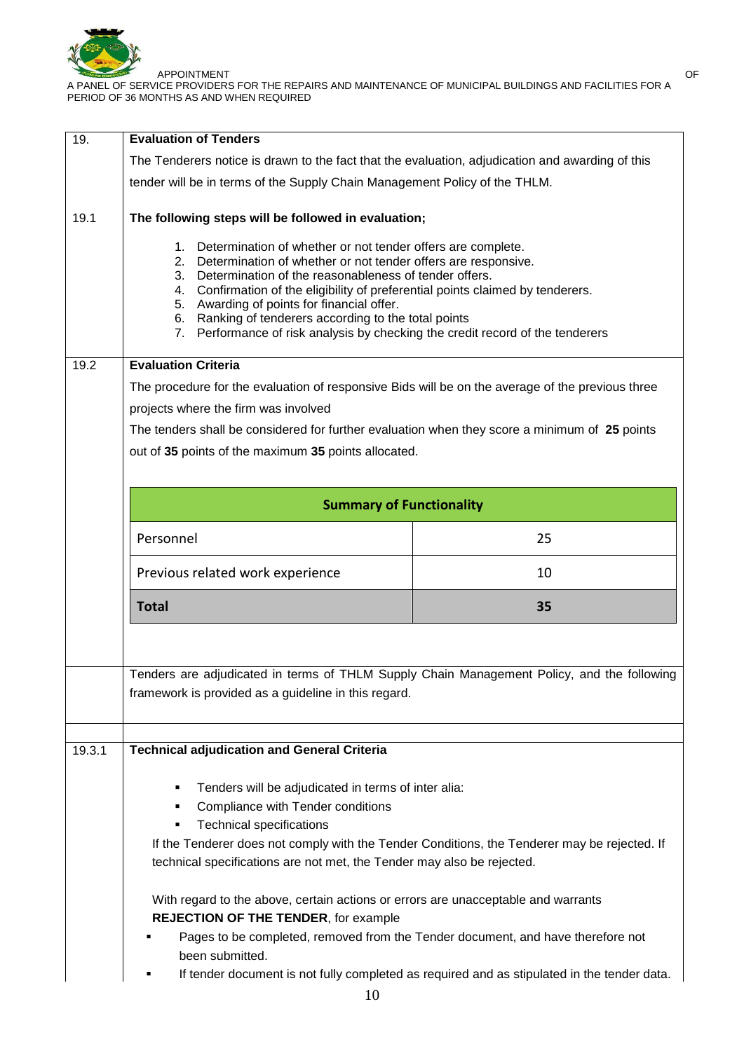

| 19.    | <b>Evaluation of Tenders</b>                                                                                                                                                                                                                                                                                                                                                                                                                                                              |                                                                                 |  |  |  |
|--------|-------------------------------------------------------------------------------------------------------------------------------------------------------------------------------------------------------------------------------------------------------------------------------------------------------------------------------------------------------------------------------------------------------------------------------------------------------------------------------------------|---------------------------------------------------------------------------------|--|--|--|
|        | The Tenderers notice is drawn to the fact that the evaluation, adjudication and awarding of this                                                                                                                                                                                                                                                                                                                                                                                          |                                                                                 |  |  |  |
|        | tender will be in terms of the Supply Chain Management Policy of the THLM.                                                                                                                                                                                                                                                                                                                                                                                                                |                                                                                 |  |  |  |
| 19.1   | The following steps will be followed in evaluation;                                                                                                                                                                                                                                                                                                                                                                                                                                       |                                                                                 |  |  |  |
|        | 1. Determination of whether or not tender offers are complete.<br>Determination of whether or not tender offers are responsive.<br>2.<br>Determination of the reasonableness of tender offers.<br>3.<br>Confirmation of the eligibility of preferential points claimed by tenderers.<br>4.<br>5. Awarding of points for financial offer.<br>Ranking of tenderers according to the total points<br>6.<br>Performance of risk analysis by checking the credit record of the tenderers<br>7. |                                                                                 |  |  |  |
| 19.2   | <b>Evaluation Criteria</b>                                                                                                                                                                                                                                                                                                                                                                                                                                                                |                                                                                 |  |  |  |
|        | The procedure for the evaluation of responsive Bids will be on the average of the previous three                                                                                                                                                                                                                                                                                                                                                                                          |                                                                                 |  |  |  |
|        | projects where the firm was involved                                                                                                                                                                                                                                                                                                                                                                                                                                                      |                                                                                 |  |  |  |
|        | The tenders shall be considered for further evaluation when they score a minimum of 25 points                                                                                                                                                                                                                                                                                                                                                                                             |                                                                                 |  |  |  |
|        | out of 35 points of the maximum 35 points allocated.                                                                                                                                                                                                                                                                                                                                                                                                                                      |                                                                                 |  |  |  |
|        |                                                                                                                                                                                                                                                                                                                                                                                                                                                                                           |                                                                                 |  |  |  |
|        | <b>Summary of Functionality</b>                                                                                                                                                                                                                                                                                                                                                                                                                                                           |                                                                                 |  |  |  |
|        | Personnel                                                                                                                                                                                                                                                                                                                                                                                                                                                                                 | 25                                                                              |  |  |  |
|        | Previous related work experience                                                                                                                                                                                                                                                                                                                                                                                                                                                          | 10                                                                              |  |  |  |
|        | <b>Total</b>                                                                                                                                                                                                                                                                                                                                                                                                                                                                              | 35                                                                              |  |  |  |
|        | Tenders are adjudicated in terms of THLM Supply Chain Management Policy, and the following                                                                                                                                                                                                                                                                                                                                                                                                |                                                                                 |  |  |  |
|        | framework is provided as a guideline in this regard.                                                                                                                                                                                                                                                                                                                                                                                                                                      |                                                                                 |  |  |  |
|        |                                                                                                                                                                                                                                                                                                                                                                                                                                                                                           |                                                                                 |  |  |  |
| 19.3.1 | <b>Technical adjudication and General Criteria</b>                                                                                                                                                                                                                                                                                                                                                                                                                                        |                                                                                 |  |  |  |
|        | Tenders will be adjudicated in terms of inter alia:<br>٠                                                                                                                                                                                                                                                                                                                                                                                                                                  |                                                                                 |  |  |  |
|        | Compliance with Tender conditions<br>٠                                                                                                                                                                                                                                                                                                                                                                                                                                                    |                                                                                 |  |  |  |
|        | <b>Technical specifications</b><br>٠                                                                                                                                                                                                                                                                                                                                                                                                                                                      |                                                                                 |  |  |  |
|        | If the Tenderer does not comply with the Tender Conditions, the Tenderer may be rejected. If                                                                                                                                                                                                                                                                                                                                                                                              |                                                                                 |  |  |  |
|        |                                                                                                                                                                                                                                                                                                                                                                                                                                                                                           |                                                                                 |  |  |  |
|        | technical specifications are not met, the Tender may also be rejected.                                                                                                                                                                                                                                                                                                                                                                                                                    |                                                                                 |  |  |  |
|        | With regard to the above, certain actions or errors are unacceptable and warrants                                                                                                                                                                                                                                                                                                                                                                                                         |                                                                                 |  |  |  |
|        | <b>REJECTION OF THE TENDER, for example</b><br>been submitted.                                                                                                                                                                                                                                                                                                                                                                                                                            | Pages to be completed, removed from the Tender document, and have therefore not |  |  |  |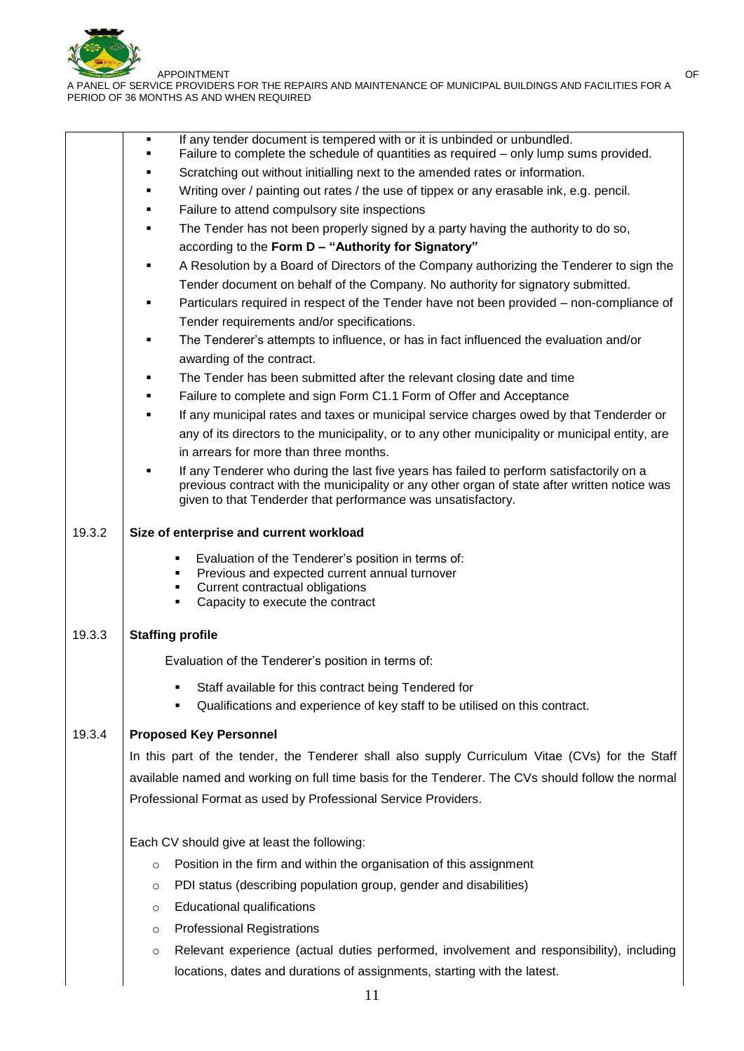

|        | If any tender document is tempered with or it is unbinded or unbundled.<br>П<br>Failure to complete the schedule of quantities as required – only lump sums provided.                          |  |  |  |
|--------|------------------------------------------------------------------------------------------------------------------------------------------------------------------------------------------------|--|--|--|
|        | Scratching out without initialling next to the amended rates or information.                                                                                                                   |  |  |  |
|        | Writing over / painting out rates / the use of tippex or any erasable ink, e.g. pencil.<br>٠                                                                                                   |  |  |  |
|        | Failure to attend compulsory site inspections<br>٠                                                                                                                                             |  |  |  |
|        | The Tender has not been properly signed by a party having the authority to do so,                                                                                                              |  |  |  |
|        | according to the Form D - "Authority for Signatory"                                                                                                                                            |  |  |  |
|        | A Resolution by a Board of Directors of the Company authorizing the Tenderer to sign the                                                                                                       |  |  |  |
|        | Tender document on behalf of the Company. No authority for signatory submitted.                                                                                                                |  |  |  |
|        | Particulars required in respect of the Tender have not been provided – non-compliance of                                                                                                       |  |  |  |
|        | Tender requirements and/or specifications.                                                                                                                                                     |  |  |  |
|        | The Tenderer's attempts to influence, or has in fact influenced the evaluation and/or<br>٠                                                                                                     |  |  |  |
|        | awarding of the contract.                                                                                                                                                                      |  |  |  |
|        | The Tender has been submitted after the relevant closing date and time                                                                                                                         |  |  |  |
|        | Failure to complete and sign Form C1.1 Form of Offer and Acceptance                                                                                                                            |  |  |  |
|        | If any municipal rates and taxes or municipal service charges owed by that Tenderder or                                                                                                        |  |  |  |
|        | any of its directors to the municipality, or to any other municipality or municipal entity, are                                                                                                |  |  |  |
|        | in arrears for more than three months.                                                                                                                                                         |  |  |  |
|        | If any Tenderer who during the last five years has failed to perform satisfactorily on a                                                                                                       |  |  |  |
|        | previous contract with the municipality or any other organ of state after written notice was<br>given to that Tenderder that performance was unsatisfactory.                                   |  |  |  |
| 19.3.2 | Size of enterprise and current workload                                                                                                                                                        |  |  |  |
|        | Evaluation of the Tenderer's position in terms of:<br>٠<br>Previous and expected current annual turnover<br>٠<br>Current contractual obligations<br>٠<br>Capacity to execute the contract<br>٠ |  |  |  |
| 19.3.3 | <b>Staffing profile</b>                                                                                                                                                                        |  |  |  |
|        | Evaluation of the Tenderer's position in terms of:                                                                                                                                             |  |  |  |
|        | Staff available for this contract being Tendered for                                                                                                                                           |  |  |  |
|        | Qualifications and experience of key staff to be utilised on this contract.<br>٠                                                                                                               |  |  |  |
| 19.3.4 | <b>Proposed Key Personnel</b>                                                                                                                                                                  |  |  |  |
|        | In this part of the tender, the Tenderer shall also supply Curriculum Vitae (CVs) for the Staff                                                                                                |  |  |  |
|        | available named and working on full time basis for the Tenderer. The CVs should follow the normal                                                                                              |  |  |  |
|        |                                                                                                                                                                                                |  |  |  |
|        | Professional Format as used by Professional Service Providers.                                                                                                                                 |  |  |  |
|        | Each CV should give at least the following:                                                                                                                                                    |  |  |  |
|        | Position in the firm and within the organisation of this assignment<br>$\circ$                                                                                                                 |  |  |  |
|        | PDI status (describing population group, gender and disabilities)<br>O                                                                                                                         |  |  |  |
|        | Educational qualifications                                                                                                                                                                     |  |  |  |
|        | $\circ$                                                                                                                                                                                        |  |  |  |
|        | <b>Professional Registrations</b><br>$\circ$                                                                                                                                                   |  |  |  |
|        | Relevant experience (actual duties performed, involvement and responsibility), including<br>$\circ$                                                                                            |  |  |  |
|        | locations, dates and durations of assignments, starting with the latest.                                                                                                                       |  |  |  |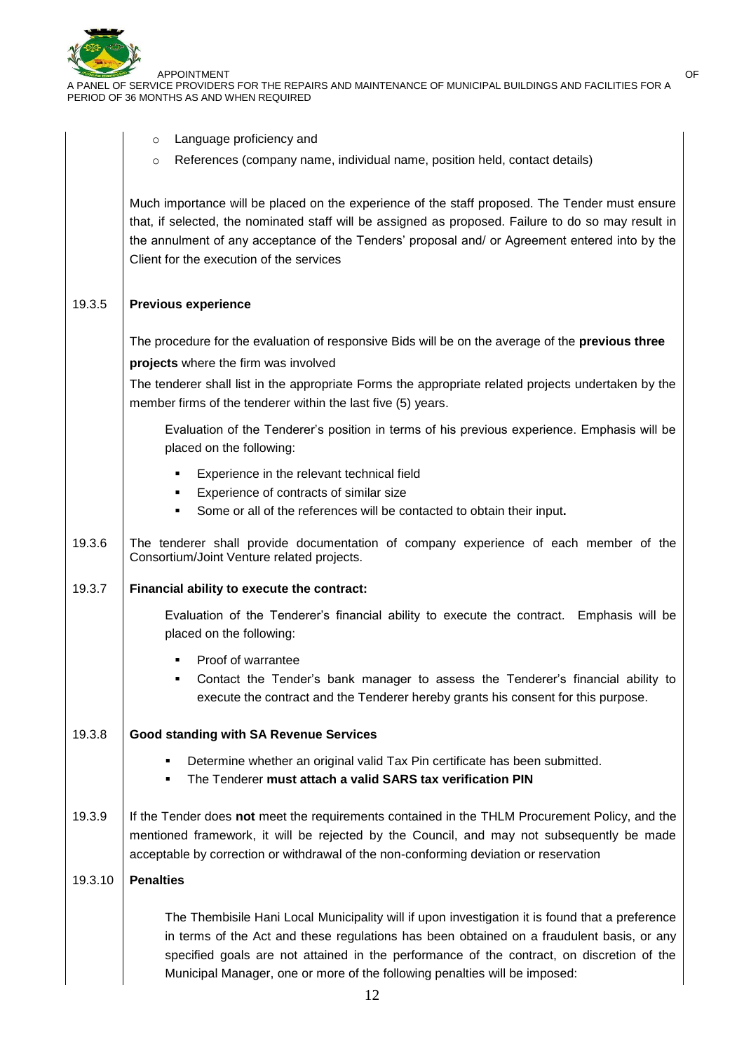

|         | Language proficiency and<br>$\circ$                                                                                                                                                                                                                                                                                                                                     |
|---------|-------------------------------------------------------------------------------------------------------------------------------------------------------------------------------------------------------------------------------------------------------------------------------------------------------------------------------------------------------------------------|
|         | References (company name, individual name, position held, contact details)<br>O                                                                                                                                                                                                                                                                                         |
|         | Much importance will be placed on the experience of the staff proposed. The Tender must ensure<br>that, if selected, the nominated staff will be assigned as proposed. Failure to do so may result in<br>the annulment of any acceptance of the Tenders' proposal and/ or Agreement entered into by the<br>Client for the execution of the services                     |
| 19.3.5  | <b>Previous experience</b>                                                                                                                                                                                                                                                                                                                                              |
|         | The procedure for the evaluation of responsive Bids will be on the average of the previous three<br>projects where the firm was involved                                                                                                                                                                                                                                |
|         | The tenderer shall list in the appropriate Forms the appropriate related projects undertaken by the<br>member firms of the tenderer within the last five (5) years.                                                                                                                                                                                                     |
|         | Evaluation of the Tenderer's position in terms of his previous experience. Emphasis will be<br>placed on the following:                                                                                                                                                                                                                                                 |
|         | Experience in the relevant technical field<br>Experience of contracts of similar size<br>٠<br>Some or all of the references will be contacted to obtain their input.<br>٠                                                                                                                                                                                               |
| 19.3.6  | The tenderer shall provide documentation of company experience of each member of the<br>Consortium/Joint Venture related projects.                                                                                                                                                                                                                                      |
| 19.3.7  | Financial ability to execute the contract:                                                                                                                                                                                                                                                                                                                              |
|         | Evaluation of the Tenderer's financial ability to execute the contract. Emphasis will be<br>placed on the following:                                                                                                                                                                                                                                                    |
|         | Proof of warrantee                                                                                                                                                                                                                                                                                                                                                      |
|         | Contact the Tender's bank manager to assess the Tenderer's financial ability to<br>execute the contract and the Tenderer hereby grants his consent for this purpose.                                                                                                                                                                                                    |
| 19.3.8  | <b>Good standing with SA Revenue Services</b>                                                                                                                                                                                                                                                                                                                           |
|         | Determine whether an original valid Tax Pin certificate has been submitted.<br>٠<br>The Tenderer must attach a valid SARS tax verification PIN<br>٠                                                                                                                                                                                                                     |
| 19.3.9  | If the Tender does not meet the requirements contained in the THLM Procurement Policy, and the<br>mentioned framework, it will be rejected by the Council, and may not subsequently be made<br>acceptable by correction or withdrawal of the non-conforming deviation or reservation                                                                                    |
| 19.3.10 | <b>Penalties</b>                                                                                                                                                                                                                                                                                                                                                        |
|         | The Thembisile Hani Local Municipality will if upon investigation it is found that a preference<br>in terms of the Act and these regulations has been obtained on a fraudulent basis, or any<br>specified goals are not attained in the performance of the contract, on discretion of the<br>Municipal Manager, one or more of the following penalties will be imposed: |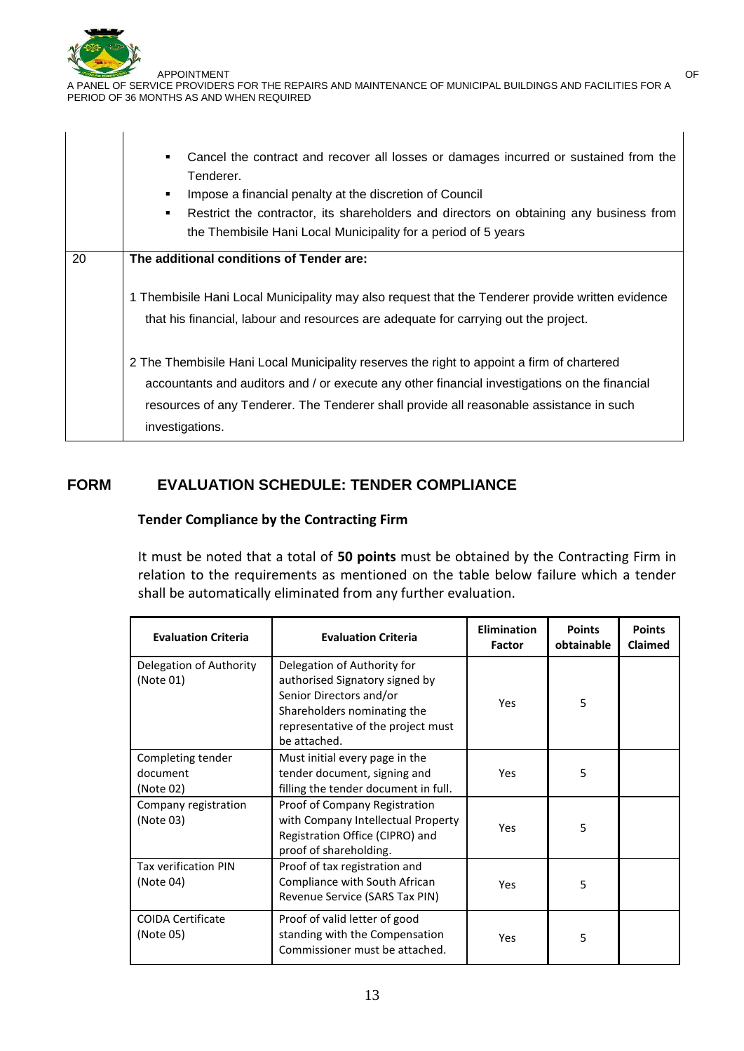

|    | Cancel the contract and recover all losses or damages incurred or sustained from the<br>$\blacksquare$<br>Tenderer.<br>Impose a financial penalty at the discretion of Council<br>٠<br>Restrict the contractor, its shareholders and directors on obtaining any business from<br>٠<br>the Thembisile Hani Local Municipality for a period of 5 years |  |  |  |
|----|------------------------------------------------------------------------------------------------------------------------------------------------------------------------------------------------------------------------------------------------------------------------------------------------------------------------------------------------------|--|--|--|
| 20 | The additional conditions of Tender are:                                                                                                                                                                                                                                                                                                             |  |  |  |
|    | 1 Thembisile Hani Local Municipality may also request that the Tenderer provide written evidence<br>that his financial, labour and resources are adequate for carrying out the project.                                                                                                                                                              |  |  |  |
|    | 2 The Thembisile Hani Local Municipality reserves the right to appoint a firm of chartered<br>accountants and auditors and / or execute any other financial investigations on the financial<br>resources of any Tenderer. The Tenderer shall provide all reasonable assistance in such<br>investigations.                                            |  |  |  |

## **FORM EVALUATION SCHEDULE: TENDER COMPLIANCE**

#### **Tender Compliance by the Contracting Firm**

It must be noted that a total of **50 points** must be obtained by the Contracting Firm in relation to the requirements as mentioned on the table below failure which a tender shall be automatically eliminated from any further evaluation.

| <b>Evaluation Criteria</b>                 | <b>Evaluation Criteria</b>                                                                                                                                                    | <b>Elimination</b><br>Factor | <b>Points</b><br>obtainable | <b>Points</b><br><b>Claimed</b> |
|--------------------------------------------|-------------------------------------------------------------------------------------------------------------------------------------------------------------------------------|------------------------------|-----------------------------|---------------------------------|
| Delegation of Authority<br>(Note 01)       | Delegation of Authority for<br>authorised Signatory signed by<br>Senior Directors and/or<br>Shareholders nominating the<br>representative of the project must<br>be attached. | Yes                          | 5                           |                                 |
| Completing tender<br>document<br>(Note 02) | Must initial every page in the<br>tender document, signing and<br>filling the tender document in full.                                                                        | Yes                          | 5                           |                                 |
| Company registration<br>(Note 03)          | Proof of Company Registration<br>with Company Intellectual Property<br>Registration Office (CIPRO) and<br>proof of shareholding.                                              | Yes                          | 5                           |                                 |
| <b>Tax verification PIN</b><br>(Note 04)   | Proof of tax registration and<br>Compliance with South African<br>Revenue Service (SARS Tax PIN)                                                                              | Yes                          | 5                           |                                 |
| <b>COIDA Certificate</b><br>(Note 05)      | Proof of valid letter of good<br>standing with the Compensation<br>Commissioner must be attached.                                                                             | 5<br>Yes                     |                             |                                 |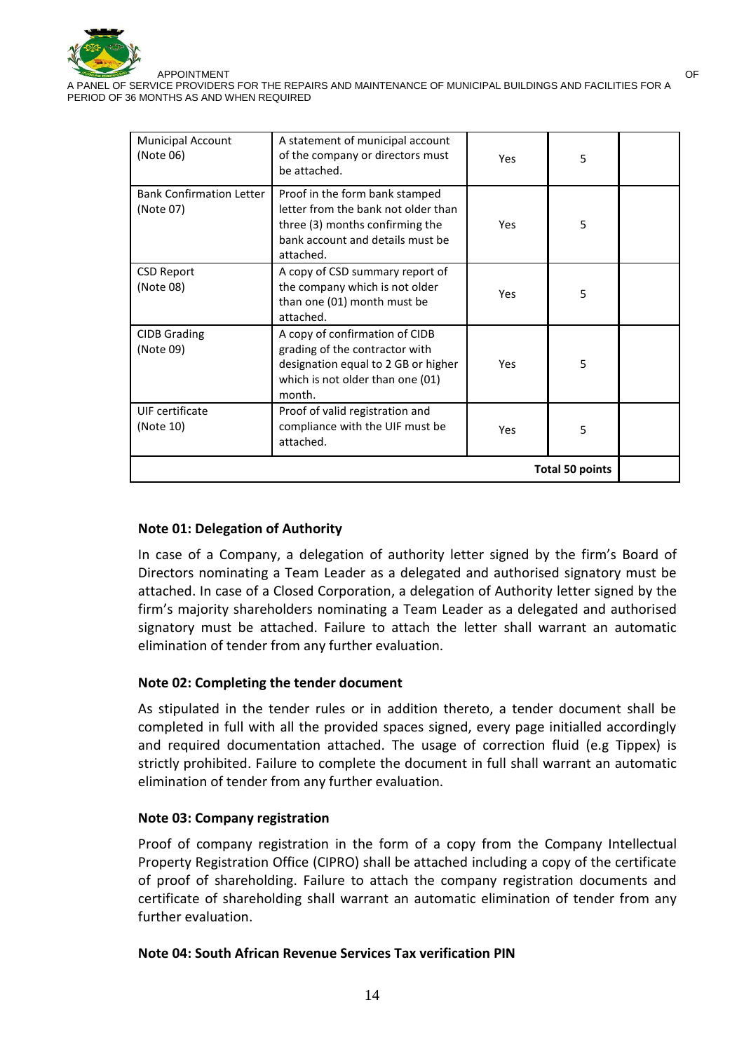

| <b>Municipal Account</b><br>(Note 06)        | A statement of municipal account<br>of the company or directors must<br>be attached.                                                                      | Yes | 5 |  |
|----------------------------------------------|-----------------------------------------------------------------------------------------------------------------------------------------------------------|-----|---|--|
| <b>Bank Confirmation Letter</b><br>(Note 07) | Proof in the form bank stamped<br>letter from the bank not older than<br>three (3) months confirming the<br>bank account and details must be<br>attached. | Yes | 5 |  |
| <b>CSD Report</b><br>(Note 08)               | A copy of CSD summary report of<br>the company which is not older<br>than one (01) month must be<br>attached.                                             | Yes | 5 |  |
| <b>CIDB Grading</b><br>(Note 09)             | A copy of confirmation of CIDB<br>grading of the contractor with<br>designation equal to 2 GB or higher<br>which is not older than one (01)<br>month.     | Yes | 5 |  |
| UIF certificate<br>(Note 10)                 | Proof of valid registration and<br>compliance with the UIF must be<br>attached.                                                                           | Yes | 5 |  |
| <b>Total 50 points</b>                       |                                                                                                                                                           |     |   |  |

#### **Note 01: Delegation of Authority**

In case of a Company, a delegation of authority letter signed by the firm's Board of Directors nominating a Team Leader as a delegated and authorised signatory must be attached. In case of a Closed Corporation, a delegation of Authority letter signed by the firm's majority shareholders nominating a Team Leader as a delegated and authorised signatory must be attached. Failure to attach the letter shall warrant an automatic elimination of tender from any further evaluation.

#### **Note 02: Completing the tender document**

As stipulated in the tender rules or in addition thereto, a tender document shall be completed in full with all the provided spaces signed, every page initialled accordingly and required documentation attached. The usage of correction fluid (e.g Tippex) is strictly prohibited. Failure to complete the document in full shall warrant an automatic elimination of tender from any further evaluation.

#### **Note 03: Company registration**

Proof of company registration in the form of a copy from the Company Intellectual Property Registration Office (CIPRO) shall be attached including a copy of the certificate of proof of shareholding. Failure to attach the company registration documents and certificate of shareholding shall warrant an automatic elimination of tender from any further evaluation.

#### **Note 04: South African Revenue Services Tax verification PIN**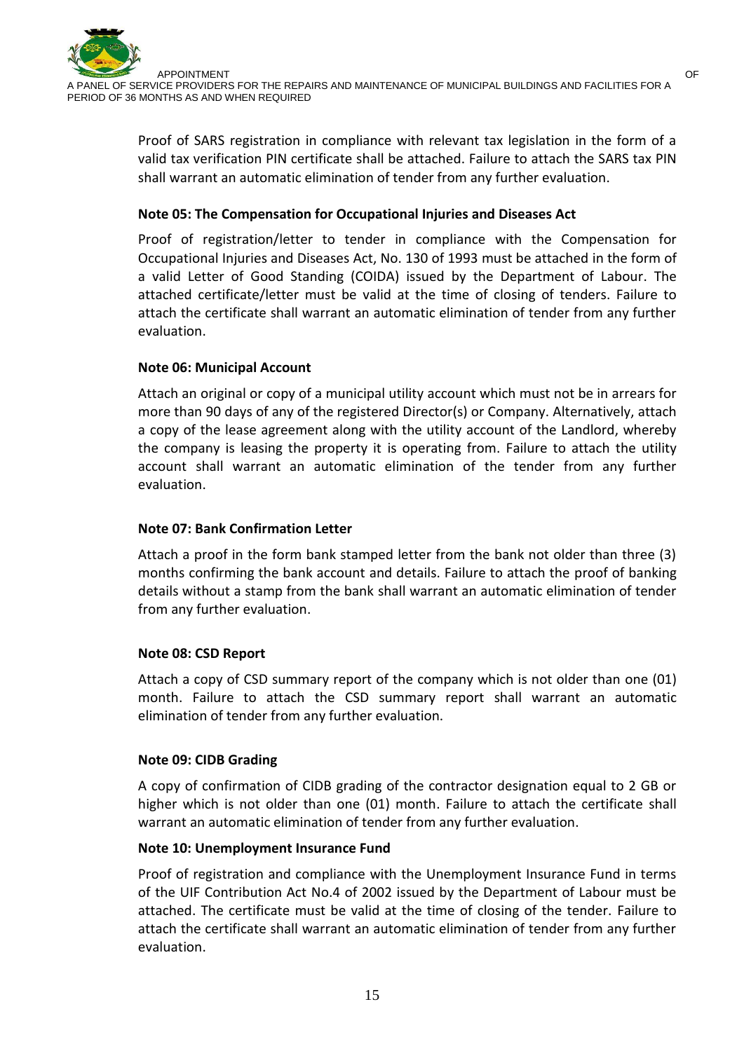Proof of SARS registration in compliance with relevant tax legislation in the form of a valid tax verification PIN certificate shall be attached. Failure to attach the SARS tax PIN shall warrant an automatic elimination of tender from any further evaluation.

## **Note 05: The Compensation for Occupational Injuries and Diseases Act**

Proof of registration/letter to tender in compliance with the Compensation for Occupational Injuries and Diseases Act, No. 130 of 1993 must be attached in the form of a valid Letter of Good Standing (COIDA) issued by the Department of Labour. The attached certificate/letter must be valid at the time of closing of tenders. Failure to attach the certificate shall warrant an automatic elimination of tender from any further evaluation.

## **Note 06: Municipal Account**

Attach an original or copy of a municipal utility account which must not be in arrears for more than 90 days of any of the registered Director(s) or Company. Alternatively, attach a copy of the lease agreement along with the utility account of the Landlord, whereby the company is leasing the property it is operating from. Failure to attach the utility account shall warrant an automatic elimination of the tender from any further evaluation.

## **Note 07: Bank Confirmation Letter**

Attach a proof in the form bank stamped letter from the bank not older than three (3) months confirming the bank account and details. Failure to attach the proof of banking details without a stamp from the bank shall warrant an automatic elimination of tender from any further evaluation.

## **Note 08: CSD Report**

Attach a copy of CSD summary report of the company which is not older than one (01) month. Failure to attach the CSD summary report shall warrant an automatic elimination of tender from any further evaluation.

## **Note 09: CIDB Grading**

A copy of confirmation of CIDB grading of the contractor designation equal to 2 GB or higher which is not older than one (01) month. Failure to attach the certificate shall warrant an automatic elimination of tender from any further evaluation.

## **Note 10: Unemployment Insurance Fund**

Proof of registration and compliance with the Unemployment Insurance Fund in terms of the UIF Contribution Act No.4 of 2002 issued by the Department of Labour must be attached. The certificate must be valid at the time of closing of the tender. Failure to attach the certificate shall warrant an automatic elimination of tender from any further evaluation.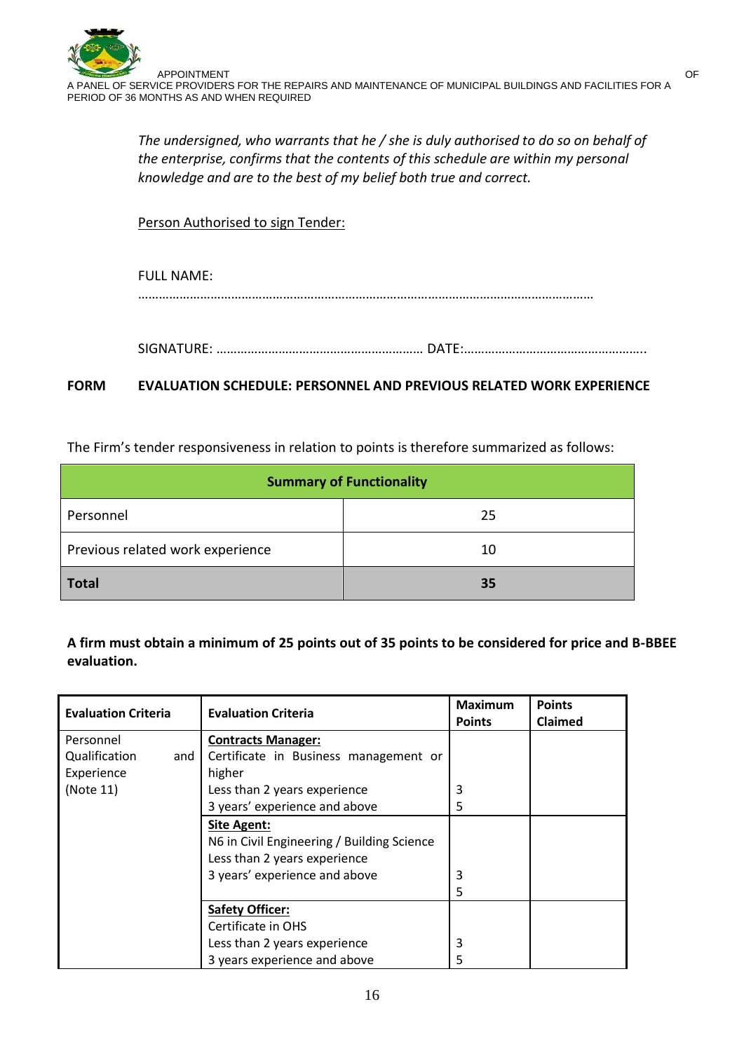*The undersigned, who warrants that he / she is duly authorised to do so on behalf of the enterprise, confirms that the contents of this schedule are within my personal knowledge and are to the best of my belief both true and correct.*

Person Authorised to sign Tender:

# FULL NAME: ……………………………………………………………………………………………………………………

SIGNATURE: …………………………………………………… DATE:……………………………………………..

## **FORM EVALUATION SCHEDULE: PERSONNEL AND PREVIOUS RELATED WORK EXPERIENCE**

The Firm's tender responsiveness in relation to points is therefore summarized as follows:

| <b>Summary of Functionality</b>  |    |  |
|----------------------------------|----|--|
| Personnel                        | 25 |  |
| Previous related work experience | 10 |  |
| <b>Total</b>                     | 35 |  |

**A firm must obtain a minimum of 25 points out of 35 points to be considered for price and B-BBEE evaluation.**

| <b>Evaluation Criteria</b> | <b>Evaluation Criteria</b>                 | <b>Maximum</b><br><b>Points</b> | <b>Points</b><br><b>Claimed</b> |
|----------------------------|--------------------------------------------|---------------------------------|---------------------------------|
| Personnel                  | <b>Contracts Manager:</b>                  |                                 |                                 |
| Qualification<br>and I     | Certificate in Business management or      |                                 |                                 |
| Experience                 | higher                                     |                                 |                                 |
| (Note 11)                  | Less than 2 years experience               | 3                               |                                 |
|                            | 3 years' experience and above              | 5                               |                                 |
|                            | <b>Site Agent:</b>                         |                                 |                                 |
|                            | N6 in Civil Engineering / Building Science |                                 |                                 |
|                            | Less than 2 years experience               |                                 |                                 |
|                            | 3 years' experience and above              | 3                               |                                 |
|                            |                                            | 5                               |                                 |
|                            | <b>Safety Officer:</b>                     |                                 |                                 |
|                            | Certificate in OHS                         |                                 |                                 |
|                            | Less than 2 years experience               | 3                               |                                 |
|                            | 3 years experience and above               | 5                               |                                 |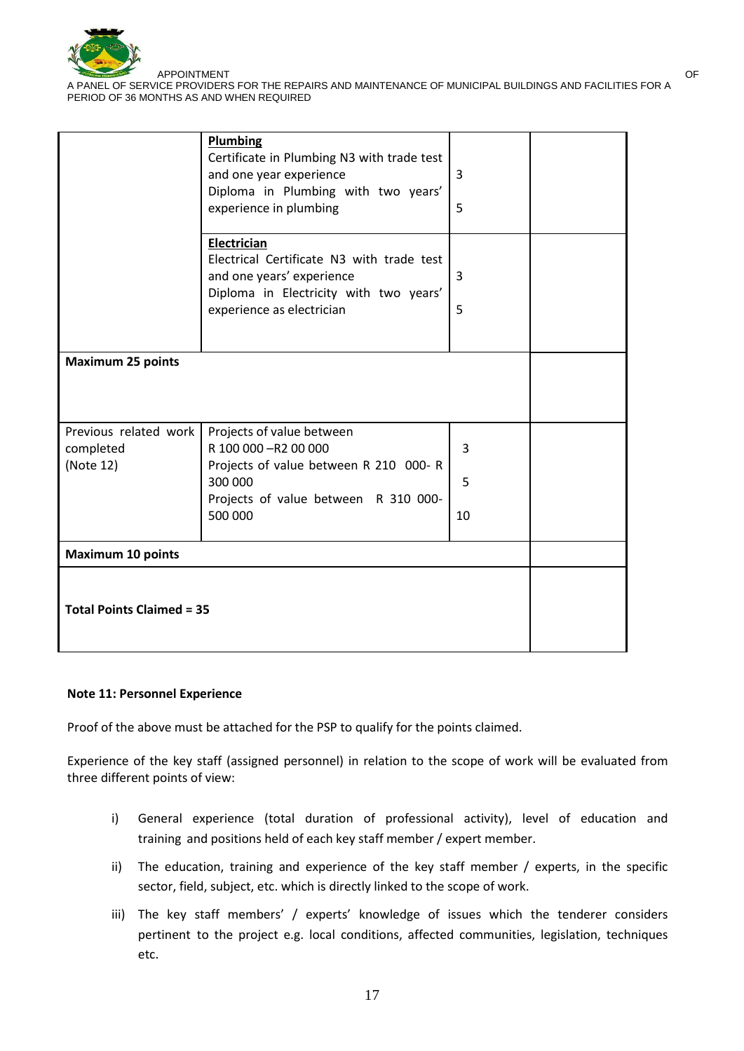

|                                                 | <b>Plumbing</b><br>Certificate in Plumbing N3 with trade test<br>and one year experience<br>Diploma in Plumbing with two years'<br>experience in plumbing    | $\overline{3}$<br>5 |  |
|-------------------------------------------------|--------------------------------------------------------------------------------------------------------------------------------------------------------------|---------------------|--|
|                                                 | Electrician<br>Electrical Certificate N3 with trade test<br>and one years' experience<br>Diploma in Electricity with two years'<br>experience as electrician | 3<br>5              |  |
| <b>Maximum 25 points</b>                        |                                                                                                                                                              |                     |  |
| Previous related work<br>completed<br>(Note 12) | Projects of value between<br>R 100 000 - R2 00 000<br>Projects of value between R 210 000- R                                                                 | 3                   |  |
|                                                 | 300 000<br>Projects of value between R 310 000-                                                                                                              | 5                   |  |
|                                                 | 500 000                                                                                                                                                      | 10                  |  |
| <b>Maximum 10 points</b>                        |                                                                                                                                                              |                     |  |
| <b>Total Points Claimed = 35</b>                |                                                                                                                                                              |                     |  |

#### **Note 11: Personnel Experience**

Proof of the above must be attached for the PSP to qualify for the points claimed.

Experience of the key staff (assigned personnel) in relation to the scope of work will be evaluated from three different points of view:

- i) General experience (total duration of professional activity), level of education and training and positions held of each key staff member / expert member.
- ii) The education, training and experience of the key staff member / experts, in the specific sector, field, subject, etc. which is directly linked to the scope of work.
- iii) The key staff members' / experts' knowledge of issues which the tenderer considers pertinent to the project e.g. local conditions, affected communities, legislation, techniques etc.